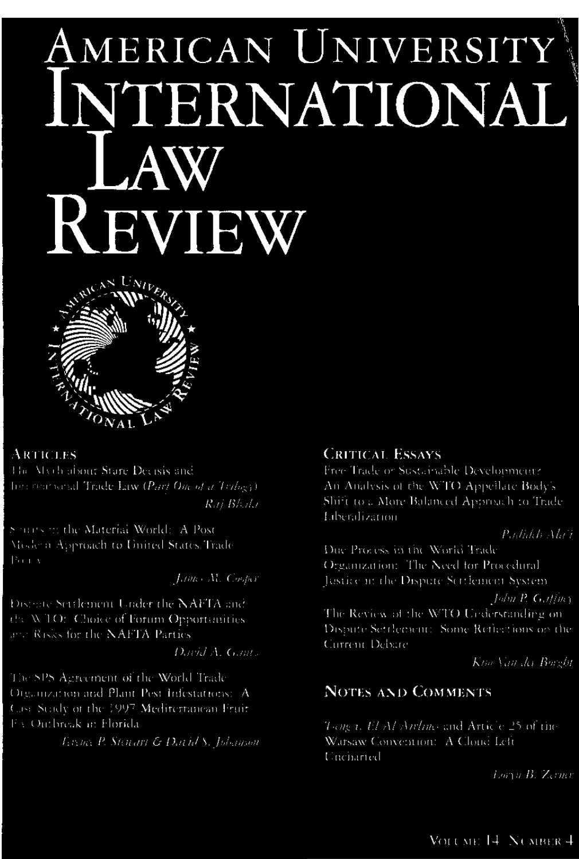# AMERICAN UNIVERSITY INTERNATIONAL AW KEVIEW



#### **ARTICLES**

The Mych about Stare Decisis and To a source all Trade Law (Part One of a Trilog)) Rai Bhala

Sourcs to the Material World: A Post Mode a Approach to United States Trade

Lance M. Cooper

Districte Settlement Under the NAFTA and the WTO: Choice of Forum Opportunities and Risks for the NAFTA Parties

David A. Game.

The SPS Agreement of the World Trade Organization and Plant Pest Infestations: A Case Study of the 1997 Mediterranean Fruit FA Outbreak in Florida

Terence P. Stewart & David'S, Jobsman

## **CRITICAL ESSAYS**

Free Trade or Sustainable Development? An Analysis of the WTO Appellate Body's Shift to a More Balanced Approach to Trade **Liberalization** 

#### Padidch Ala'i

Due Process in the World Trade Organization: The Need for Procedural Justice in the Dispute Scribencin System

 $Juhu$  P.  $G_0t/Im$ 

The Review of the WTO Understanding on-Dispute Settlement: Some Reflections on the Current Debare

Kna Van der Borght

## **NOTES AND COMMENTS**

 $T_2 \partial g / i$ , El Al Anhao and Article 25 of the Warsaw Convention: A Clond Left Uncharted

Loryn B. Zerner

VOLUME 14 NUMBER 4